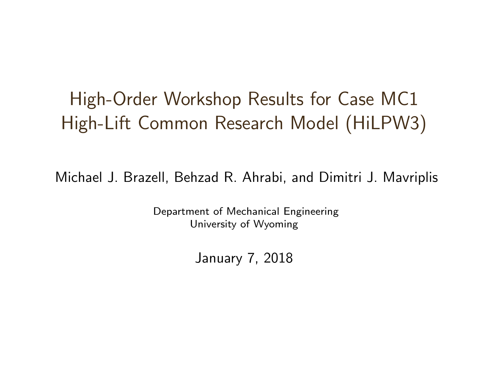## High-Order Workshop Results for Case MC1 High-Lift Common Research Model (HiLPW3)

Michael J. Brazell, Behzad R. Ahrabi, and Dimitri J. Mavriplis

Department of Mechanical Engineering University of Wyoming

January 7, 2018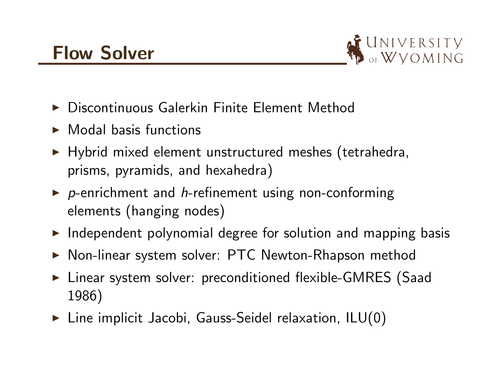

- ▶ Discontinuous Galerkin Finite Flement Method
- $\blacktriangleright$  Modal basis functions
- $\blacktriangleright$  Hybrid mixed element unstructured meshes (tetrahedra, prisms, pyramids, and hexahedra)
- $\triangleright$  p-enrichment and h-refinement using non-conforming elements (hanging nodes)
- $\triangleright$  Independent polynomial degree for solution and mapping basis
- ▶ Non-linear system solver: PTC Newton-Rhapson method
- ▶ Linear system solver: preconditioned flexible-GMRES (Saad 1986)
- $\blacktriangleright$  Line implicit Jacobi, Gauss-Seidel relaxation, ILU(0)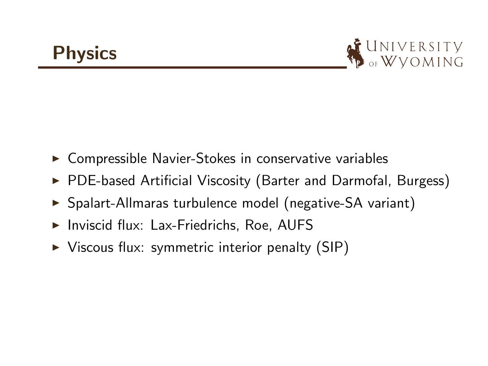## Physics



- $\triangleright$  Compressible Navier-Stokes in conservative variables
- $\triangleright$  PDE-based Artificial Viscosity (Barter and Darmofal, Burgess)
- $\triangleright$  Spalart-Allmaras turbulence model (negative-SA variant)
- $\blacktriangleright$  Inviscid flux: Lax-Friedrichs, Roe, AUFS
- $\triangleright$  Viscous flux: symmetric interior penalty (SIP)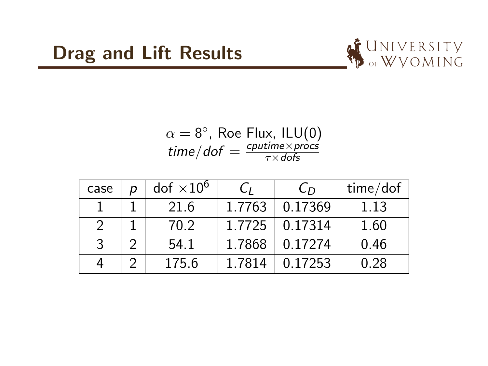

$$
\alpha = 8^{\circ}, \text{ Roe Flux, ILU(0)} \\ time / dof = \frac{cputime \times process}{\tau \times dots}
$$

| case | n | dof $\times 10^6$ |        | $C_{D}$ | time/dof |
|------|---|-------------------|--------|---------|----------|
|      |   | 21.6              | 1.7763 | 0.17369 | 1.13     |
| 2    |   | 70.2              | 1.7725 | 0.17314 | 1.60     |
| 3    |   | 54.1              | 1.7868 | 0.17274 | 0.46     |
|      |   | 175.6             | 1 7814 | 0.17253 | 0.28     |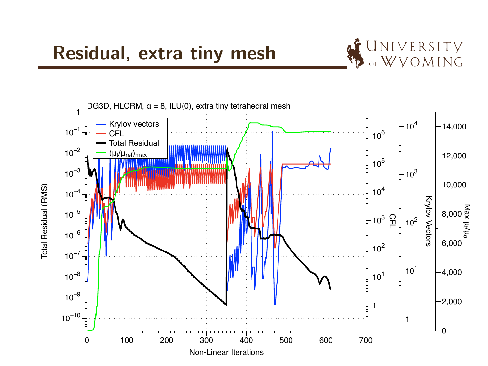



Total Residual (RMS) Total Residual (RMS)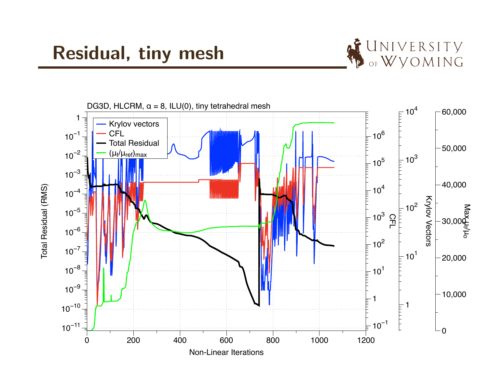## Residual, tiny mesh

Total Residual (RMS)

Total Residual (RMS)





Non-Linear Iterations